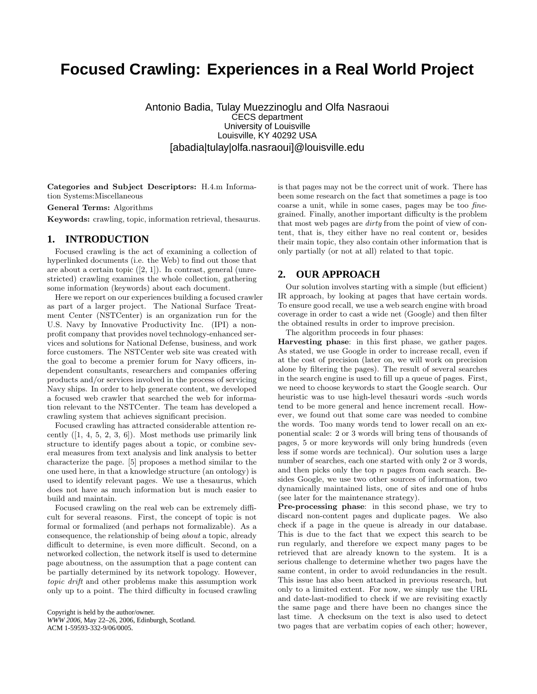# **Focused Crawling: Experiences in a Real World Project**

Antonio Badia, Tulay Muezzinoglu and Olfa Nasraoui CECS department University of Louisville Louisville, KY 40292 USA [abadia|tulay|olfa.nasraoui]@louisville.edu

Categories and Subject Descriptors: H.4.m Information Systems:Miscellaneous

#### General Terms: Algorithms

Keywords: crawling, topic, information retrieval, thesaurus.

### **1. INTRODUCTION**

Focused crawling is the act of examining a collection of hyperlinked documents (i.e. the Web) to find out those that are about a certain topic  $([2, 1])$ . In contrast, general (unrestricted) crawling examines the whole collection, gathering some information (keywords) about each document.

Here we report on our experiences building a focused crawler as part of a larger project. The National Surface Treatment Center (NSTCenter) is an organization run for the U.S. Navy by Innovative Productivity Inc. (IPI) a nonprofit company that provides novel technology-enhanced services and solutions for National Defense, business, and work force customers. The NSTCenter web site was created with the goal to become a premier forum for Navy officers, independent consultants, researchers and companies offering products and/or services involved in the process of servicing Navy ships. In order to help generate content, we developed a focused web crawler that searched the web for information relevant to the NSTCenter. The team has developed a crawling system that achieves significant precision.

Focused crawling has attracted considerable attention recently  $([1, 4, 5, 2, 3, 6])$ . Most methods use primarily link structure to identify pages about a topic, or combine several measures from text analysis and link analysis to better characterize the page. [5] proposes a method similar to the one used here, in that a knowledge structure (an ontology) is used to identify relevant pages. We use a thesaurus, which does not have as much information but is much easier to build and maintain.

Focused crawling on the real web can be extremely difficult for several reasons. First, the concept of topic is not formal or formalized (and perhaps not formalizable). As a consequence, the relationship of being about a topic, already difficult to determine, is even more difficult. Second, on a networked collection, the network itself is used to determine page aboutness, on the assumption that a page content can be partially determined by its network topology. However, topic drift and other problems make this assumption work only up to a point. The third difficulty in focused crawling

Copyright is held by the author/owner. *WWW 2006,* May 22–26, 2006, Edinburgh, Scotland. ACM 1-59593-332-9/06/0005.

is that pages may not be the correct unit of work. There has been some research on the fact that sometimes a page is too coarse a unit, while in some cases, pages may be too finegrained. Finally, another important difficulty is the problem that most web pages are dirty from the point of view of content, that is, they either have no real content or, besides their main topic, they also contain other information that is only partially (or not at all) related to that topic.

## **2. OUR APPROACH**

Our solution involves starting with a simple (but efficient) IR approach, by looking at pages that have certain words. To ensure good recall, we use a web search engine with broad coverage in order to cast a wide net (Google) and then filter the obtained results in order to improve precision.

The algorithm proceeds in four phases:

Harvesting phase: in this first phase, we gather pages. As stated, we use Google in order to increase recall, even if at the cost of precision (later on, we will work on precision alone by filtering the pages). The result of several searches in the search engine is used to fill up a queue of pages. First, we need to choose keywords to start the Google search. Our heuristic was to use high-level thesauri words -such words tend to be more general and hence increment recall. However, we found out that some care was needed to combine the words. Too many words tend to lower recall on an exponential scale: 2 or 3 words will bring tens of thousands of pages, 5 or more keywords will only bring hundreds (even less if some words are technical). Our solution uses a large number of searches, each one started with only 2 or 3 words, and then picks only the top  $n$  pages from each search. Besides Google, we use two other sources of information, two dynamically maintained lists, one of sites and one of hubs (see later for the maintenance strategy).

Pre-processing phase: in this second phase, we try to discard non-content pages and duplicate pages. We also check if a page in the queue is already in our database. This is due to the fact that we expect this search to be run regularly, and therefore we expect many pages to be retrieved that are already known to the system. It is a serious challenge to determine whether two pages have the same content, in order to avoid redundancies in the result. This issue has also been attacked in previous research, but only to a limited extent. For now, we simply use the URL and date-last-modified to check if we are revisiting exactly the same page and there have been no changes since the last time. A checksum on the text is also used to detect two pages that are verbatim copies of each other; however,